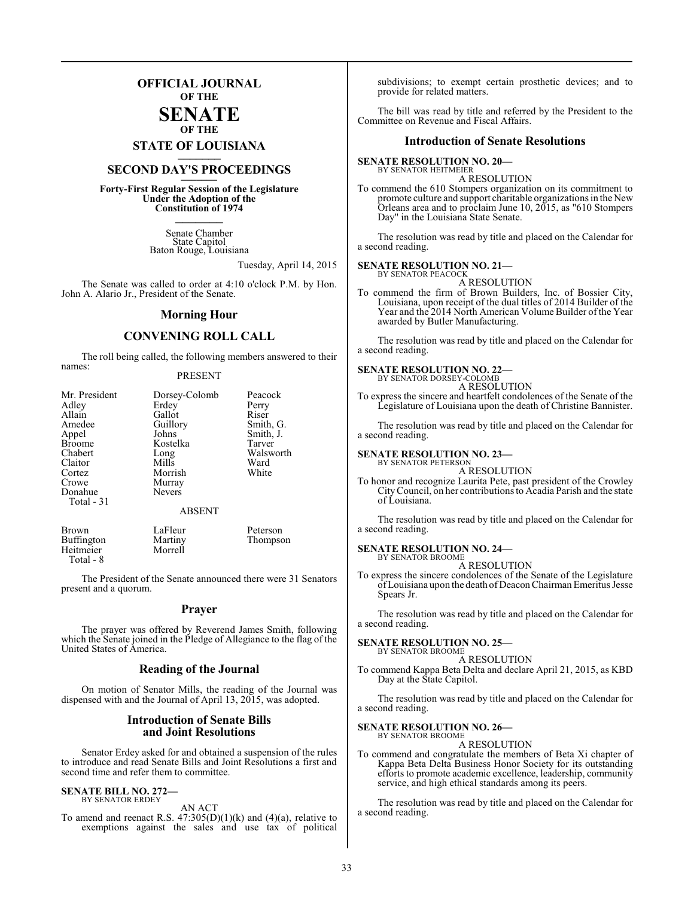## **OFFICIAL JOURNAL OF THE**

#### **SENATE OF THE**

## **STATE OF LOUISIANA \_\_\_\_\_\_\_**

## **SECOND DAY'S PROCEEDINGS \_\_\_\_\_\_\_**

**Forty-First Regular Session of the Legislature Under the Adoption of the Constitution of 1974 \_\_\_\_\_\_\_**

> Senate Chamber State Capitol Baton Rouge, Louisiana

> > Tuesday, April 14, 2015

The Senate was called to order at 4:10 o'clock P.M. by Hon. John A. Alario Jr., President of the Senate.

#### **Morning Hour**

#### **CONVENING ROLL CALL**

The roll being called, the following members answered to their names:

#### PRESENT

| Mr. President<br>Adley<br>Allain<br>Amedee<br>Appel<br><b>Broome</b><br>Chabert<br>Claitor<br>Cortez<br>Crowe<br>Donahue<br>Total - 31 | Dorsey-Colomb<br>Erdey<br>Gallot<br>Guillory<br>Johns<br>Kostelka<br>Long<br>Mills<br>Morrish<br>Murray<br><b>Nevers</b><br><b>ABSENT</b> | Peacock<br>Perry<br>Riser<br>Smith, G.<br>Smith, J.<br>Tarver<br>Walsworth<br>Ward<br>White |
|----------------------------------------------------------------------------------------------------------------------------------------|-------------------------------------------------------------------------------------------------------------------------------------------|---------------------------------------------------------------------------------------------|
| <b>Brown</b><br>Buffington<br>Heitmeier                                                                                                | LaFleur<br>Martiny<br>Morrell                                                                                                             | Peterson<br>Thompson                                                                        |

 Total - 8 The President of the Senate announced there were 31 Senators

#### **Prayer**

The prayer was offered by Reverend James Smith, following which the Senate joined in the Pledge of Allegiance to the flag of the United States of America.

#### **Reading of the Journal**

On motion of Senator Mills, the reading of the Journal was dispensed with and the Journal of April 13, 2015, was adopted.

#### **Introduction of Senate Bills and Joint Resolutions**

Senator Erdey asked for and obtained a suspension of the rules to introduce and read Senate Bills and Joint Resolutions a first and second time and refer them to committee.

#### **SENATE BILL NO. 272—** BY SENATOR ERDEY

present and a quorum.

AN ACT

To amend and reenact R.S.  $47:305(D)(1)(k)$  and  $(4)(a)$ , relative to exemptions against the sales and use tax of political

subdivisions; to exempt certain prosthetic devices; and to provide for related matters.

The bill was read by title and referred by the President to the Committee on Revenue and Fiscal Affairs.

#### **Introduction of Senate Resolutions**

#### **SENATE RESOLUTION NO. 20—** BY SENATOR HEITMEIER

A RESOLUTION

To commend the 610 Stompers organization on its commitment to promote culture and support charitable organizations in the New Orleans area and to proclaim June 10, 2015, as "610 Stompers Day" in the Louisiana State Senate.

The resolution was read by title and placed on the Calendar for a second reading.

#### **SENATE RESOLUTION NO. 21—**

BY SENATOR PEACOCK A RESOLUTION

To commend the firm of Brown Builders, Inc. of Bossier City, Louisiana, upon receipt of the dual titles of 2014 Builder of the Year and the 2014 North American Volume Builder of the Year awarded by Butler Manufacturing.

The resolution was read by title and placed on the Calendar for a second reading.

#### **SENATE RESOLUTION NO. 22—** BY SENATOR DORSEY-COLOMB

A RESOLUTION

To express the sincere and heartfelt condolences of the Senate of the Legislature of Louisiana upon the death of Christine Bannister.

The resolution was read by title and placed on the Calendar for a second reading.

#### **SENATE RESOLUTION NO. 23—** BY SENATOR PETERSON

#### A RESOLUTION

To honor and recognize Laurita Pete, past president of the Crowley CityCouncil, on her contributions to Acadia Parish and the state of Louisiana.

The resolution was read by title and placed on the Calendar for a second reading.

#### **SENATE RESOLUTION NO. 24—** BY SENATOR BROOME

A RESOLUTION

To express the sincere condolences of the Senate of the Legislature ofLouisiana upon the death of Deacon Chairman Emeritus Jesse Spears Jr.

The resolution was read by title and placed on the Calendar for a second reading.

#### **SENATE RESOLUTION NO. 25—**

BY SENATOR BROOME A RESOLUTION

To commend Kappa Beta Delta and declare April 21, 2015, as KBD Day at the State Capitol.

The resolution was read by title and placed on the Calendar for a second reading.

#### **SENATE RESOLUTION NO. 26—**

BY SENATOR BROOME A RESOLUTION

To commend and congratulate the members of Beta Xi chapter of Kappa Beta Delta Business Honor Society for its outstanding efforts to promote academic excellence, leadership, community service, and high ethical standards among its peers.

The resolution was read by title and placed on the Calendar for a second reading.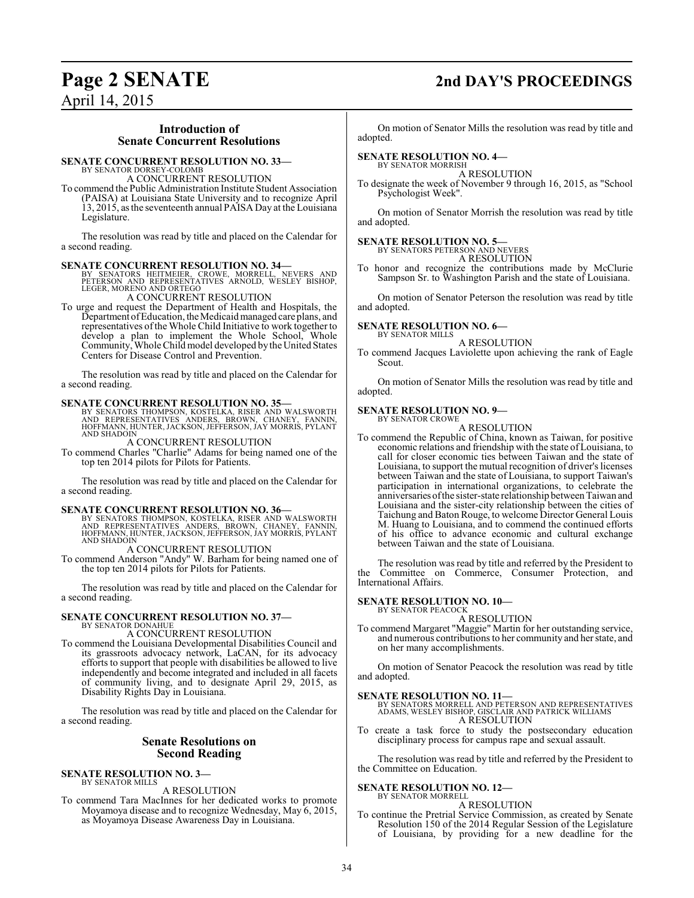## **Page 2 SENATE 2nd DAY'S PROCEEDINGS**

April 14, 2015

#### **Introduction of Senate Concurrent Resolutions**

#### **SENATE CONCURRENT RESOLUTION NO. 33—**

BY SENATOR DORSEY-COLOMB A CONCURRENT RESOLUTION

To commend the Public Administration Institute Student Association (PAISA) at Louisiana State University and to recognize April 13, 2015, as the seventeenth annual PAISA Day at the Louisiana Legislature.

The resolution was read by title and placed on the Calendar for a second reading.

**SENATE CONCURRENT RESOLUTION NO. 34—**<br>
BY SENATORS HEITMEIER, CROWE, MORRELL, NEVERS AND<br>
PETERSON AND REPRESENTATIVES ARNOLD, WESLEY BISHOP,<br>
LEGER, MORENO AND ORTEGO<br>
A CONCURRENT RESOLUTION

To urge and request the Department of Health and Hospitals, the Department of Education, the Medicaid managed care plans, and representatives ofthe Whole Child Initiative to work together to develop a plan to implement the Whole School, Whole Community, Whole Child model developed by the United States Centers for Disease Control and Prevention.

The resolution was read by title and placed on the Calendar for a second reading.

#### **SENATE CONCURRENT RESOLUTION NO. 35—**

BY SENATORS THOMPSON, KOSTELKA, RISER AND WALSWORTH<br>AND REPRESENTATIVES ANDERS, BROWN, CHANEY, FANNIN,<br>HOFFMANN,HUNTER,JACKSON,JEFFERSON,JAY MORRIS,PYLANT AND SHADOIN

A CONCURRENT RESOLUTION

To commend Charles "Charlie" Adams for being named one of the top ten 2014 pilots for Pilots for Patients.

The resolution was read by title and placed on the Calendar for a second reading.

**SENATE CONCURRENT RESOLUTION NO. 36—**<br>BY SENATORS THOMPSON, KOSTELKA, RISER AND WALSWORTH<br>AND REPRESENTATIVES ANDERS, BROWN, CHANEY, FANNIN,<br>HOFFMANN, HUNTER, JACKSON, JEFFERSON, JAY MORRIS, PYLANT AND SHADOIN

A CONCURRENT RESOLUTION

To commend Anderson "Andy" W. Barham for being named one of the top ten 2014 pilots for Pilots for Patients.

The resolution was read by title and placed on the Calendar for a second reading.

#### **SENATE CONCURRENT RESOLUTION NO. 37—** BY SENATOR DONAHUE

#### A CONCURRENT RESOLUTION

To commend the Louisiana Developmental Disabilities Council and its grassroots advocacy network, LaCAN, for its advocacy efforts to support that people with disabilities be allowed to live independently and become integrated and included in all facets of community living, and to designate April 29, 2015, as Disability Rights Day in Louisiana.

The resolution was read by title and placed on the Calendar for a second reading.

#### **Senate Resolutions on Second Reading**

#### **SENATE RESOLUTION NO. 3—** BY SENATOR MILLS

#### A RESOLUTION

To commend Tara MacInnes for her dedicated works to promote Moyamoya disease and to recognize Wednesday, May 6, 2015, as Moyamoya Disease Awareness Day in Louisiana.

On motion of Senator Mills the resolution was read by title and adopted.

#### **SENATE RESOLUTION NO. 4—**

BY SENATOR MORRISH A RESOLUTION

To designate the week of November 9 through 16, 2015, as "School Psychologist Week".

On motion of Senator Morrish the resolution was read by title and adopted.

## **SENATE RESOLUTION NO. 5—** BY SENATORS PETERSON AND NEVERS

A RESOLUTION To honor and recognize the contributions made by McClurie

Sampson Sr. to Washington Parish and the state of Louisiana.

On motion of Senator Peterson the resolution was read by title and adopted.

#### **SENATE RESOLUTION NO. 6—** BY SENATOR MILLS

A RESOLUTION

To commend Jacques Laviolette upon achieving the rank of Eagle Scout.

On motion of Senator Mills the resolution was read by title and adopted.

#### **SENATE RESOLUTION NO. 9—**

BY SENATOR CROWE A RESOLUTION

To commend the Republic of China, known as Taiwan, for positive economic relations and friendship with the state of Louisiana, to call for closer economic ties between Taiwan and the state of Louisiana, to support the mutual recognition of driver's licenses between Taiwan and the state of Louisiana, to support Taiwan's participation in international organizations, to celebrate the anniversaries of the sister-state relationship between Taiwan and Louisiana and the sister-city relationship between the cities of Taichung and Baton Rouge, to welcome Director General Louis M. Huang to Louisiana, and to commend the continued efforts of his office to advance economic and cultural exchange between Taiwan and the state of Louisiana.

The resolution was read by title and referred by the President to the Committee on Commerce, Consumer Protection, and International Affairs.

#### **SENATE RESOLUTION NO. 10—** BY SENATOR PEACOCK

#### A RESOLUTION

To commend Margaret "Maggie" Martin for her outstanding service, and numerous contributions to her community and her state, and on her many accomplishments.

On motion of Senator Peacock the resolution was read by title and adopted.

- **SENATE RESOLUTION NO. 11—** BY SENATORS MORRELL AND PETERSON AND REPRESENTATIVES ADAMS, WESLEY BISHOP, GISCLAIR AND PATRICK WILLIAMS A RESOLUTION
- To create a task force to study the postsecondary education disciplinary process for campus rape and sexual assault.

The resolution was read by title and referred by the President to the Committee on Education.

#### **SENATE RESOLUTION NO. 12—** BY SENATOR MORRELL

A RESOLUTION

To continue the Pretrial Service Commission, as created by Senate Resolution 150 of the 2014 Regular Session of the Legislature of Louisiana, by providing for a new deadline for the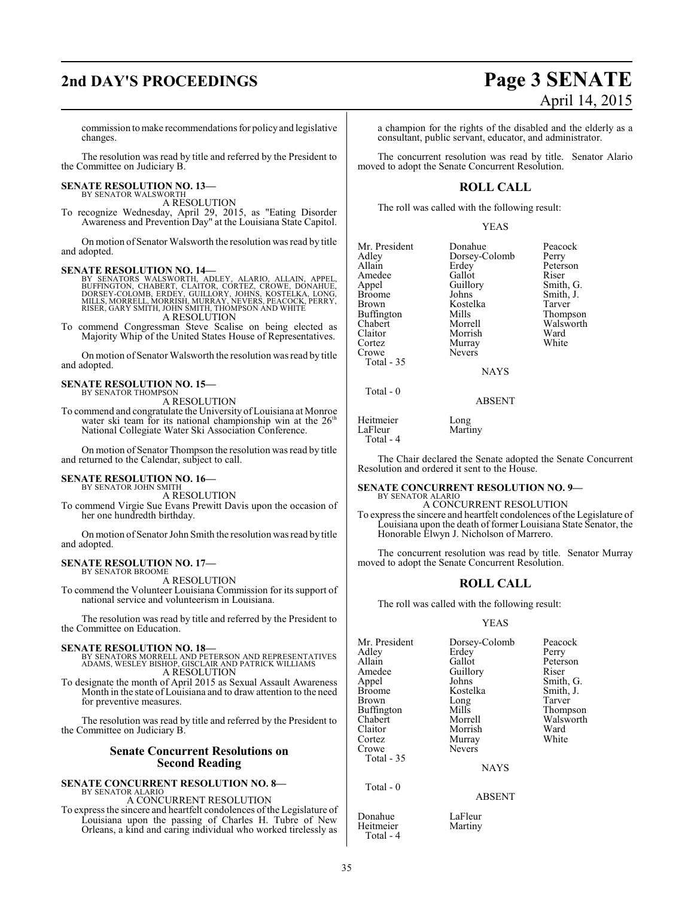## **2nd DAY'S PROCEEDINGS Page 3 SENATE**

# April 14, 2015

commission tomake recommendations for policyand legislative changes.

The resolution was read by title and referred by the President to the Committee on Judiciary B.

**SENATE RESOLUTION NO. 13—**

BY SENATOR WALSWORTH A RESOLUTION

To recognize Wednesday, April 29, 2015, as "Eating Disorder Awareness and Prevention Day" at the Louisiana State Capitol.

On motion of Senator Walsworth the resolution was read by title and adopted.

**SENATE RESOLUTION NO. 14—**<br>BY SENATORS WALSWORTH, ADLEY, ALARIO, ALLAIN, APPEL,<br>BUFFINGTON, CHABERT, CLAITOR, CORTEZ, CROWE, DONAHUE,<br>DORSEY-COLOMB, ERDEY, GUILLORY, JOHNS, KOSTÉLKA, LONG,<br>MILLS, MORRELL, MORRISH, MURRAY, A RESOLUTION

To commend Congressman Steve Scalise on being elected as Majority Whip of the United States House of Representatives.

On motion of Senator Walsworth the resolution was read by title and adopted.

## **SENATE RESOLUTION NO. 15—** BY SENATOR THOMPSON

A RESOLUTION

To commend and congratulate the University of Louisiana at Monroe water ski team for its national championship win at the  $26<sup>th</sup>$ National Collegiate Water Ski Association Conference.

On motion of Senator Thompson the resolution was read by title and returned to the Calendar, subject to call.

#### **SENATE RESOLUTION NO. 16—** BY SENATOR JOHN SMITH

A RESOLUTION

To commend Virgie Sue Evans Prewitt Davis upon the occasion of her one hundredth birthday.

On motion of Senator John Smith the resolution was read by title and adopted.

**SENATE RESOLUTION NO. 17—** BY SENATOR BROOME

A RESOLUTION

To commend the Volunteer Louisiana Commission for its support of national service and volunteerism in Louisiana.

The resolution was read by title and referred by the President to the Committee on Education.

**SENATE RESOLUTION NO. 18—** BY SENATORS MORRELL AND PETERSON AND REPRESENTATIVES ADAMS, WESLEY BISHOP, GISCLAIR AND PATRICK WILLIAMS A RESOLUTION

To designate the month of April 2015 as Sexual Assault Awareness Month in the state of Louisiana and to draw attention to the need for preventive measures.

The resolution was read by title and referred by the President to the Committee on Judiciary B.

#### **Senate Concurrent Resolutions on Second Reading**

#### **SENATE CONCURRENT RESOLUTION NO. 8—** BY SENATOR ALARIO

A CONCURRENT RESOLUTION

To express the sincere and heartfelt condolences of the Legislature of Louisiana upon the passing of Charles H. Tubre of New Orleans, a kind and caring individual who worked tirelessly as

a champion for the rights of the disabled and the elderly as a consultant, public servant, educator, and administrator.

The concurrent resolution was read by title. Senator Alario moved to adopt the Senate Concurrent Resolution.

## **ROLL CALL**

The roll was called with the following result:

#### YEAS

| Mr. President<br>Adley<br>Allain<br>Amedee<br>Appel<br><b>Broome</b><br><b>Brown</b><br><b>Buffington</b><br>Chabert<br>Claitor<br>Cortez | Donahue<br>Dorsey-Colomb<br>Erdey<br>Gallot<br>Guillory<br>Johns<br>Kostelka<br>Mills<br>Morrell<br>Morrish<br>Murray | Peacock<br>Perry<br>Peterson<br>Riser<br>Smith, G.<br>Smith, J.<br>Tarver<br>Thompson<br>Walsworth<br>Ward<br>White |
|-------------------------------------------------------------------------------------------------------------------------------------------|-----------------------------------------------------------------------------------------------------------------------|---------------------------------------------------------------------------------------------------------------------|
| Crowe                                                                                                                                     | <b>Nevers</b>                                                                                                         |                                                                                                                     |
| Total $-35$                                                                                                                               | <b>NAYS</b>                                                                                                           |                                                                                                                     |

ABSENT

Heitmeier Long<br>LaFleur Marti Martiny Total - 4

Total - 0

The Chair declared the Senate adopted the Senate Concurrent Resolution and ordered it sent to the House.

#### **SENATE CONCURRENT RESOLUTION NO. 9—**

BY SENATOR ALARIO A CONCURRENT RESOLUTION

To express the sincere and heartfelt condolences ofthe Legislature of Louisiana upon the death offormer Louisiana State Senator, the Honorable Elwyn J. Nicholson of Marrero.

The concurrent resolution was read by title. Senator Murray moved to adopt the Senate Concurrent Resolution.

### **ROLL CALL**

The roll was called with the following result:

#### YEAS

| Mr. President<br>Adlev<br>Allain<br>Amedee<br>Appel<br>Broome<br>Brown<br>Buffington<br>Chabert<br>Claitor<br>Cortez | Dorsey-Colomb<br>Erdey<br>Gallot<br>Guillory<br>Johns<br>Kostelka<br>Long<br>Mills<br>Morrell<br>Morrish<br>Murray | Peacock<br>Perry<br>Peterson<br>Riser<br>Smith, G.<br>Smith, J.<br>Tarver<br>Thompson<br>Walsworth<br>Ward<br>White |
|----------------------------------------------------------------------------------------------------------------------|--------------------------------------------------------------------------------------------------------------------|---------------------------------------------------------------------------------------------------------------------|
| Crowe<br>Total - 35                                                                                                  | <b>Nevers</b><br><b>NAYS</b>                                                                                       |                                                                                                                     |
| Total - 0                                                                                                            |                                                                                                                    |                                                                                                                     |

#### ABSENT

Donahue LaFleur<br>Heitmeier Martiny

Heitmeier Total - 4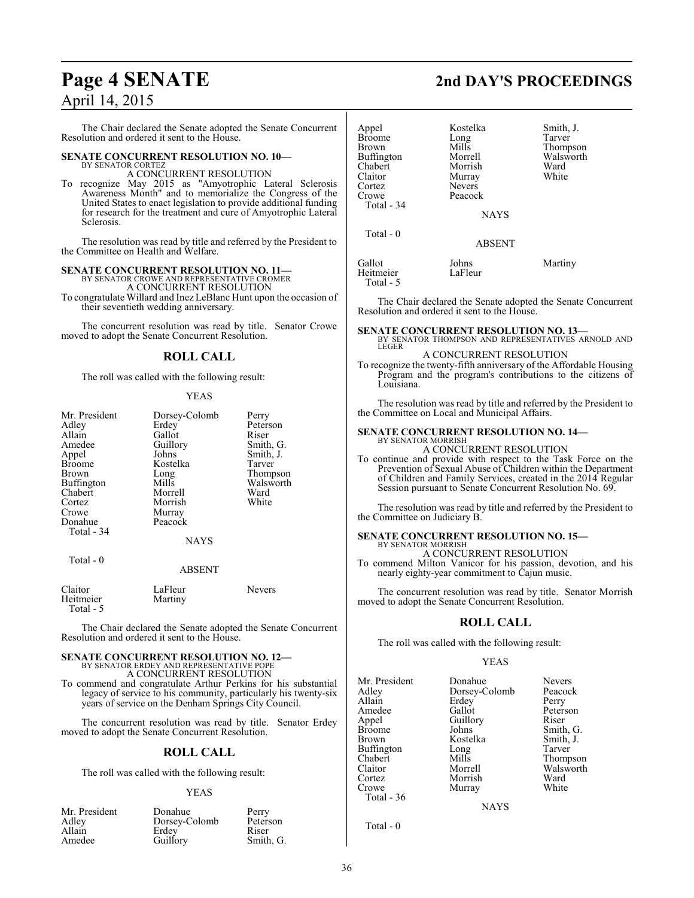# April 14, 2015

The Chair declared the Senate adopted the Senate Concurrent Resolution and ordered it sent to the House.

#### **SENATE CONCURRENT RESOLUTION NO. 10—** BY SENATOR CORTEZ

A CONCURRENT RESOLUTION

To recognize May 2015 as "Amyotrophic Lateral Sclerosis Awareness Month" and to memorialize the Congress of the United States to enact legislation to provide additional funding for research for the treatment and cure of Amyotrophic Lateral Sclerosis.

The resolution was read by title and referred by the President to the Committee on Health and Welfare.

## **SENATE CONCURRENT RESOLUTION NO. 11—** BY SENATOR CROWE AND REPRESENTATIVE CROMER

A CONCURRENT RESOLUTION

To congratulate Willard and Inez LeBlanc Hunt upon the occasion of their seventieth wedding anniversary.

The concurrent resolution was read by title. Senator Crowe moved to adopt the Senate Concurrent Resolution.

### **ROLL CALL**

The roll was called with the following result:

#### YEAS

| Mr. President<br>Adley<br>Allain<br>Amedee<br>Appel<br><b>Broome</b><br><b>Brown</b><br>Buffington<br>Chabert<br>Cortez<br>Crowe | Dorsey-Colomb<br>Erdey<br>Gallot<br>Guillory<br>Johns<br>Kostelka<br>Long<br>Mills<br>Morrell<br>Morrish<br>Murray | Perry<br>Peterson<br>Riser<br>Smith, G.<br>Smith, J.<br>Tarver<br>Thompson<br>Walsworth<br>Ward<br>White |
|----------------------------------------------------------------------------------------------------------------------------------|--------------------------------------------------------------------------------------------------------------------|----------------------------------------------------------------------------------------------------------|
| Donahue<br>Total - 34                                                                                                            | Peacock<br><b>NAYS</b>                                                                                             |                                                                                                          |
| Total - 0                                                                                                                        | <b>ABSENT</b>                                                                                                      |                                                                                                          |
| $C1$ <sub>a</sub> $\cdots$                                                                                                       | $L_{\alpha}$ $E1_{\alpha\alpha\alpha}$                                                                             | $N_{\alpha}$                                                                                             |

Claitor LaFleur Nevers Heitmeier Martiny Total - 5

The Chair declared the Senate adopted the Senate Concurrent Resolution and ordered it sent to the House.

#### **SENATE CONCURRENT RESOLUTION NO. 12—**

BY SENATOR ERDEY AND REPRESENTATIVE POPE A CONCURRENT RESOLUTION

To commend and congratulate Arthur Perkins for his substantial legacy of service to his community, particularly his twenty-six years of service on the Denham Springs City Council.

The concurrent resolution was read by title. Senator Erdey moved to adopt the Senate Concurrent Resolution.

#### **ROLL CALL**

The roll was called with the following result:

#### YEAS

| Mr. President | Donahue       | Perry     |
|---------------|---------------|-----------|
| Adley         | Dorsey-Colomb | Peterson  |
| Allain        | Erdey         | Riser     |
| Amedee        | Guillory      | Smith, G. |

## **Page 4 SENATE 2nd DAY'S PROCEEDINGS**

| Appel<br>Broome<br>Brown<br>Buffington<br>Chabert<br>Claitor<br>Cortez<br>Crowe<br>Total - 34<br>Total $-0$ | Kostelka<br>Long<br>Mills<br>Morrell<br>Morrish<br>Murray<br><b>Nevers</b><br>Peacock<br><b>NAYS</b> | Smith, J.<br>Tarver<br>Thompson<br>Walsworth<br>Ward<br>White |
|-------------------------------------------------------------------------------------------------------------|------------------------------------------------------------------------------------------------------|---------------------------------------------------------------|
|                                                                                                             | <b>ABSENT</b>                                                                                        |                                                               |
| Gallot<br>Heitmeier<br>Total - 5                                                                            | Johns<br>LaFleur                                                                                     | Martiny                                                       |

The Chair declared the Senate adopted the Senate Concurrent Resolution and ordered it sent to the House.

## **SENATE CONCURRENT RESOLUTION NO. 13—** BY SENATOR THOMPSON AND REPRESENTATIVES ARNOLD AND

LEGER A CONCURRENT RESOLUTION

To recognize the twenty-fifth anniversary of the Affordable Housing Program and the program's contributions to the citizens of Louisiana.

The resolution was read by title and referred by the President to the Committee on Local and Municipal Affairs.

### **SENATE CONCURRENT RESOLUTION NO. 14—**

BY SENATOR MORRISH A CONCURRENT RESOLUTION

To continue and provide with respect to the Task Force on the Prevention of Sexual Abuse of Children within the Department of Children and Family Services, created in the 2014 Regular Session pursuant to Senate Concurrent Resolution No. 69.

The resolution was read by title and referred by the President to the Committee on Judiciary B.

#### **SENATE CONCURRENT RESOLUTION NO. 15—** BY SENATOR MORRISH

A CONCURRENT RESOLUTION

To commend Milton Vanicor for his passion, devotion, and his nearly eighty-year commitment to Cajun music.

The concurrent resolution was read by title. Senator Morrish moved to adopt the Senate Concurrent Resolution.

#### **ROLL CALL**

The roll was called with the following result:

#### YEAS

| Mr. President<br>Adley<br>Allain<br>Amedee<br>Appel<br>Broome<br>Brown<br>Buffington<br>Chabert<br>Claitor<br>Cortez<br>Crowe<br>Total - 36 | Donahue<br>Dorsey-Colomb<br>Erdey<br>Gallot<br>Guillory<br>Johns<br>Kostelka<br>Long<br>Mills<br>Morrell<br>Morrish<br>Murray | <b>Nevers</b><br>Peacock<br>Perry<br>Peterson<br>Riser<br>Smith, G.<br>Smith, J.<br>Tarver<br>Thompson<br>Walsworth<br>Ward<br>White |
|---------------------------------------------------------------------------------------------------------------------------------------------|-------------------------------------------------------------------------------------------------------------------------------|--------------------------------------------------------------------------------------------------------------------------------------|
|                                                                                                                                             | <b>NAYS</b>                                                                                                                   |                                                                                                                                      |
|                                                                                                                                             |                                                                                                                               |                                                                                                                                      |

Total - 0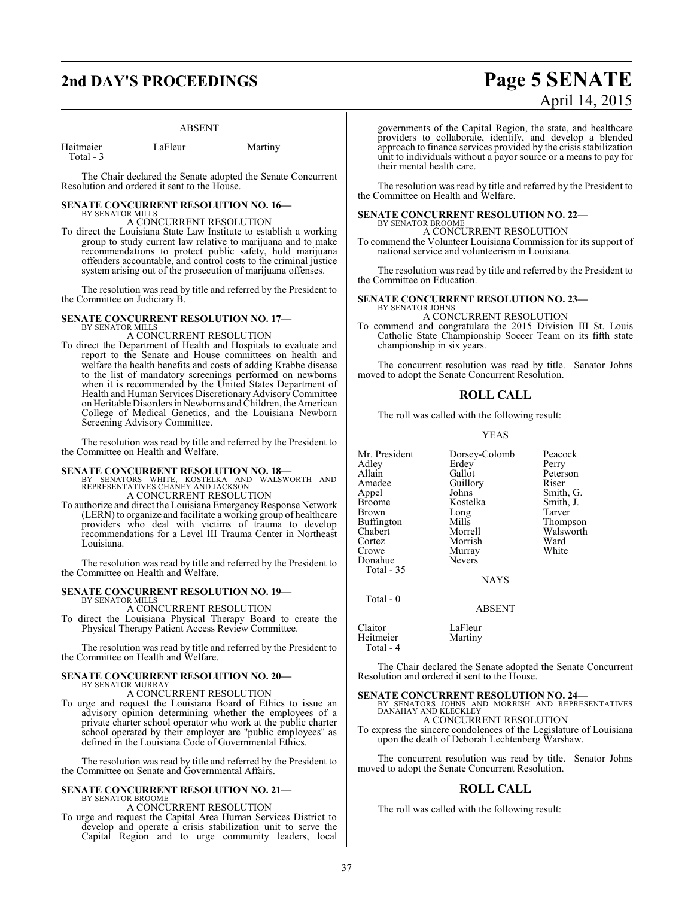## **2nd DAY'S PROCEEDINGS Page 5 SENATE**

#### ABSENT

| Heitmeier | LaFleur | Martiny |
|-----------|---------|---------|
| Total - 3 |         |         |

The Chair declared the Senate adopted the Senate Concurrent Resolution and ordered it sent to the House.

#### **SENATE CONCURRENT RESOLUTION NO. 16—** BY SENATOR MILLS

A CONCURRENT RESOLUTION

To direct the Louisiana State Law Institute to establish a working group to study current law relative to marijuana and to make recommendations to protect public safety, hold marijuana offenders accountable, and control costs to the criminal justice system arising out of the prosecution of marijuana offenses.

The resolution was read by title and referred by the President to the Committee on Judiciary B.

#### **SENATE CONCURRENT RESOLUTION NO. 17—** BY SENATOR MILLS

A CONCURRENT RESOLUTION

To direct the Department of Health and Hospitals to evaluate and report to the Senate and House committees on health and welfare the health benefits and costs of adding Krabbe disease to the list of mandatory screenings performed on newborns when it is recommended by the United States Department of Health and Human Services Discretionary Advisory Committee on Heritable Disorders in Newborns and Children, the American College of Medical Genetics, and the Louisiana Newborn Screening Advisory Committee.

The resolution was read by title and referred by the President to the Committee on Health and Welfare.

**SENATE CONCURRENT RESOLUTION NO. 18—**<br>BY SENATORS WHITE, KOSTELKA AND WALSWORTH AND<br>REPRESENTATIVES CHANEY AND JACKSON A CONCURRENT RESOLUTION

To authorize and direct the Louisiana Emergency Response Network (LERN) to organize and facilitate a working group of healthcare providers who deal with victims of trauma to develop recommendations for a Level III Trauma Center in Northeast Louisiana.

The resolution was read by title and referred by the President to the Committee on Health and Welfare.

#### **SENATE CONCURRENT RESOLUTION NO. 19—** BY SENATOR MILLS

A CONCURRENT RESOLUTION

To direct the Louisiana Physical Therapy Board to create the Physical Therapy Patient Access Review Committee.

The resolution was read by title and referred by the President to the Committee on Health and Welfare.

#### **SENATE CONCURRENT RESOLUTION NO. 20—** BY SENATOR MURRAY

A CONCURRENT RESOLUTION

To urge and request the Louisiana Board of Ethics to issue an advisory opinion determining whether the employees of a private charter school operator who work at the public charter school operated by their employer are "public employees" as defined in the Louisiana Code of Governmental Ethics.

The resolution was read by title and referred by the President to the Committee on Senate and Governmental Affairs.

#### **SENATE CONCURRENT RESOLUTION NO. 21—** BY SENATOR BROOME A CONCURRENT RESOLUTION

To urge and request the Capital Area Human Services District to develop and operate a crisis stabilization unit to serve the Capital Region and to urge community leaders, local

# April 14, 2015

governments of the Capital Region, the state, and healthcare providers to collaborate, identify, and develop a blended approach to finance services provided by the crisis stabilization unit to individuals without a payor source or a means to pay for their mental health care.

The resolution was read by title and referred by the President to the Committee on Health and Welfare.

### **SENATE CONCURRENT RESOLUTION NO. 22—**

BY SENATOR BROOME A CONCURRENT RESOLUTION

To commend the Volunteer Louisiana Commission for its support of national service and volunteerism in Louisiana.

The resolution was read by title and referred by the President to the Committee on Education.

**SENATE CONCURRENT RESOLUTION NO. 23—** BY SENATOR JOHNS

#### A CONCURRENT RESOLUTION

To commend and congratulate the 2015 Division III St. Louis Catholic State Championship Soccer Team on its fifth state championship in six years.

The concurrent resolution was read by title. Senator Johns moved to adopt the Senate Concurrent Resolution.

#### **ROLL CALL**

The roll was called with the following result:

#### YEAS

Mr. President Dorsey-Colomb Peacock<br>Adley Erdey Perry Adley Erdey<br>Allain Gallot Allain Gallot Peterson<br>Amedee Guillory Riser Amedee Guillory<br>Appel Johns Appel Johns Smith, G.<br>Broome Kostelka Smith, J. Brown Long Tarver<br>Buffington Mills Thompson Buffington Mills<br>Chabert Morrell Chabert Morrell Walsworth Cortez Morrish Ward Donahue Total - 35

Total - 0

Kostelka Smith,<br>Long Tarver Murray<br>Nevers

**NAYS** 

#### ABSENT

Claitor LaFleur<br>Heitmeier Martiny Heitmeier Total - 4

The Chair declared the Senate adopted the Senate Concurrent Resolution and ordered it sent to the House.

**SENATE CONCURRENT RESOLUTION NO. 24—**<br>BY SENATORS JOHNS AND MORRISH AND REPRESENTATIVES<br>DANAHAY AND KLECKLEY A CONCURRENT RESOLUTION

To express the sincere condolences of the Legislature of Louisiana upon the death of Deborah Lechtenberg Warshaw.

The concurrent resolution was read by title. Senator Johns moved to adopt the Senate Concurrent Resolution.

#### **ROLL CALL**

The roll was called with the following result: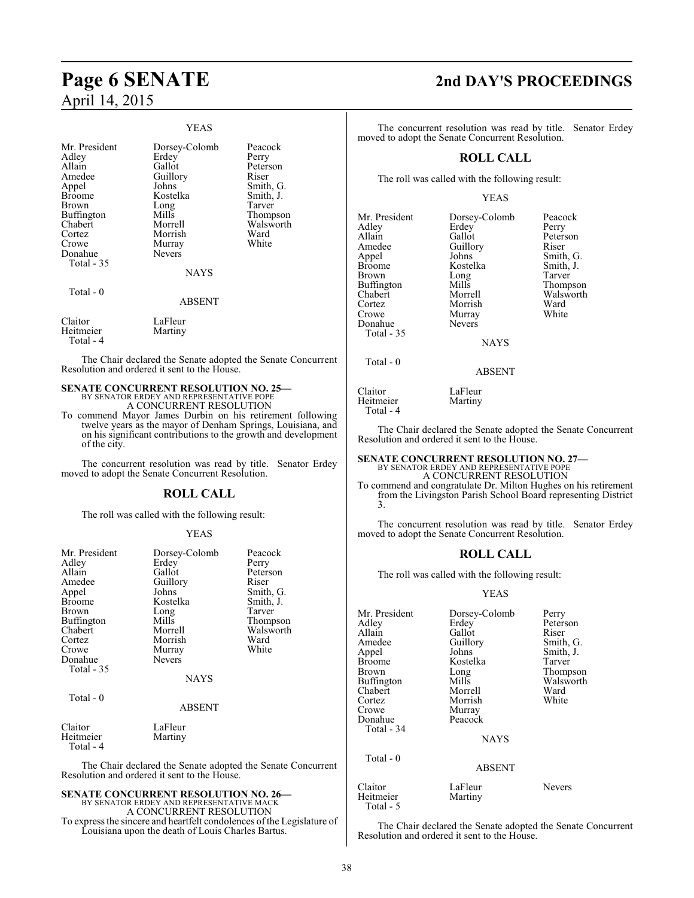# April 14, 2015

#### YEAS

| Mr. President<br>Adley<br>Allain<br>Amedee<br>Appel<br>Broome<br>Brown<br><b>Buffington</b><br>Chabert<br>Cortez<br>Crowe<br>Donahue<br><b>Total - 35</b><br>Total - 0 | Dorsey-Colomb<br>Erdey<br>Gallot<br>Guillory<br>Johns<br>Kostelka<br>Long<br>Mills<br>Morrell<br>Morrish<br>Murray<br><b>Nevers</b><br><b>NAYS</b> | Peacock<br>Perry<br>Peterson<br>Riser<br>Smith, G.<br>Smith, J.<br>Tarver<br>Thompson<br>Walsworth<br>Ward<br>White |
|------------------------------------------------------------------------------------------------------------------------------------------------------------------------|----------------------------------------------------------------------------------------------------------------------------------------------------|---------------------------------------------------------------------------------------------------------------------|
|                                                                                                                                                                        | ABSENT                                                                                                                                             |                                                                                                                     |
| Claitor<br>Heitmeier<br>Total - 4                                                                                                                                      | LaFleur<br>Martiny                                                                                                                                 |                                                                                                                     |

The Chair declared the Senate adopted the Senate Concurrent Resolution and ordered it sent to the House.

### **SENATE CONCURRENT RESOLUTION NO. 25—** BY SENATOR ERDEY AND REPRESENTATIVE POPE A CONCURRENT RESOLUTION

To commend Mayor James Durbin on his retirement following twelve years as the mayor of Denham Springs, Louisiana, and on his significant contributions to the growth and development of the city.

The concurrent resolution was read by title. Senator Erdey moved to adopt the Senate Concurrent Resolution.

#### **ROLL CALL**

The roll was called with the following result:

#### YEAS

| Mr. President<br>Adley<br>Allain<br>Amedee<br>Appel<br><b>Broome</b><br>Brown<br>Buffington<br>Chabert<br>Cortez<br>Crowe<br>Donahue<br>Total - 35<br>Total $-0$ | Dorsey-Colomb<br>Erdey<br>Gallot<br>Guillory<br>Johns<br>Kostelka<br>Long<br>Mills<br>Morrell<br>Morrish<br>Murray<br><b>Nevers</b><br><b>NAYS</b> | Peacock<br>Perry<br>Peterson<br>Riser<br>Smith, G.<br>Smith, J.<br>Tarver<br>Thompson<br>Walsworth<br>Ward<br>White |
|------------------------------------------------------------------------------------------------------------------------------------------------------------------|----------------------------------------------------------------------------------------------------------------------------------------------------|---------------------------------------------------------------------------------------------------------------------|
|                                                                                                                                                                  | ABSENT                                                                                                                                             |                                                                                                                     |
| Claitor<br>Heitmeier<br>Total - 4                                                                                                                                | LaFleur<br>Martiny                                                                                                                                 |                                                                                                                     |

The Chair declared the Senate adopted the Senate Concurrent Resolution and ordered it sent to the House.

# **SENATE CONCURRENT RESOLUTION NO. 26—**<br>BY SENATOR ERDEY AND REPRESENTATIVE MACK<br>A CONCURRENT RESOLUTION

To express the sincere and heartfelt condolences of the Legislature of Louisiana upon the death of Louis Charles Bartus.

## **Page 6 SENATE 2nd DAY'S PROCEEDINGS**

The concurrent resolution was read by title. Senator Erdey moved to adopt the Senate Concurrent Resolution.

#### **ROLL CALL**

The roll was called with the following result:

#### YEAS

| Mr. President     | Dorsey-Colomb | Peacock   |
|-------------------|---------------|-----------|
| Adley             | Erdey         | Perry     |
| Allain            | Gallot        | Peterson  |
| Amedee            | Guillory      | Riser     |
| Appel             | Johns         | Smith, G. |
| <b>Broome</b>     | Kostelka      | Smith, J. |
| Brown             | Long          | Tarver    |
| <b>Buffington</b> | Mills         | Thompson  |
| Chabert           | Morrell       | Walsworth |
| Cortez            | Morrish       | Ward      |
| Crowe             | Murray        | White     |
| Donahue           | Nevers        |           |
| Total - 35        |               |           |
|                   | NAVS          |           |

NAYS

ABSENT

Total - 0

Claitor LaFleur<br>Heitmeier Martiny

Heitmeier Total - 4

The Chair declared the Senate adopted the Senate Concurrent Resolution and ordered it sent to the House.

## **SENATE CONCURRENT RESOLUTION NO. 27—** BY SENATOR ERDEY AND REPRESENTATIVE POPE

A CONCURRENT RESOLUTION

To commend and congratulate Dr. Milton Hughes on his retirement from the Livingston Parish School Board representing District 3.

The concurrent resolution was read by title. Senator Erdey moved to adopt the Senate Concurrent Resolution.

#### **ROLL CALL**

The roll was called with the following result:

#### YEAS

| Mr. President<br>Adley<br>Allain<br>Amedee<br>Appel<br><b>Broome</b><br><b>Brown</b><br><b>Buffington</b><br>Chabert<br>Cortez<br>Crowe<br>Donahue<br>Total - 34 | Dorsey-Colomb<br>Erdey<br>Gallot<br>Guillory<br>Johns<br>Kostelka<br>Long<br>Mills<br>Morrell<br>Morrish<br>Murray<br>Peacock<br><b>NAYS</b> | Perry<br>Peterson<br>Riser<br>Smith, G.<br>Smith, J.<br>Tarver<br>Thompson<br>Walsworth<br>Ward<br>White |
|------------------------------------------------------------------------------------------------------------------------------------------------------------------|----------------------------------------------------------------------------------------------------------------------------------------------|----------------------------------------------------------------------------------------------------------|
| Total $-0$                                                                                                                                                       | <b>ABSENT</b>                                                                                                                                |                                                                                                          |

Claitor LaFleur Nevers<br>
Heitmeier Martiny Heitmeier Total - 5

The Chair declared the Senate adopted the Senate Concurrent Resolution and ordered it sent to the House.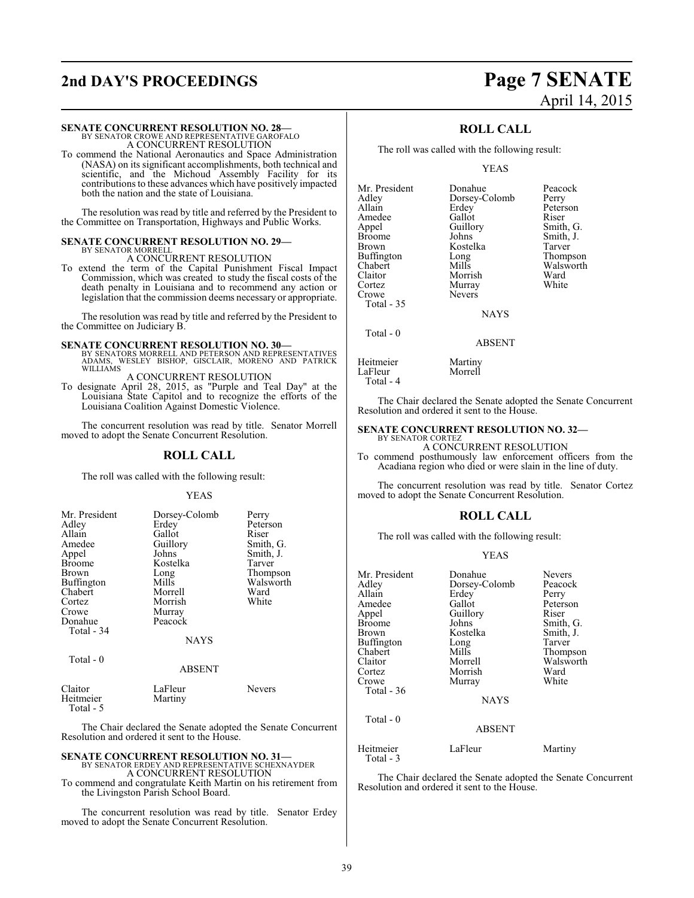## **2nd DAY'S PROCEEDINGS Page 7 SENATE**

#### **SENATE CONCURRENT RESOLUTION NO. 28—**

BY SENATOR CROWE AND REPRESENTATIVE GAROFALO A CONCURRENT RESOLUTION

To commend the National Aeronautics and Space Administration (NASA) on its significant accomplishments, both technical and scientific, and the Michoud Assembly Facility for its contributions to these advances which have positively impacted both the nation and the state of Louisiana.

The resolution was read by title and referred by the President to the Committee on Transportation, Highways and Public Works.

#### **SENATE CONCURRENT RESOLUTION NO. 29—** BY SENATOR MORRELL A CONCURRENT RESOLUTION

To extend the term of the Capital Punishment Fiscal Impact Commission, which was created to study the fiscal costs of the death penalty in Louisiana and to recommend any action or legislation that the commission deems necessary or appropriate.

The resolution was read by title and referred by the President to the Committee on Judiciary B.

**SENATE CONCURRENT RESOLUTION NO. 30—**<br>BY SENATORS MORRELL AND PETERSON AND REPRESENTATIVES<br>ADAMS, WESLEY BISHOP, GISCLAIR, MORENO AND PATRICK WILLIAMS

A CONCURRENT RESOLUTION To designate April 28, 2015, as "Purple and Teal Day" at the Louisiana State Capitol and to recognize the efforts of the Louisiana Coalition Against Domestic Violence.

The concurrent resolution was read by title. Senator Morrell moved to adopt the Senate Concurrent Resolution.

#### **ROLL CALL**

The roll was called with the following result:

#### YEAS

| Mr. President<br>Adley<br>Allain<br>Amedee<br>Appel<br><b>Broome</b><br>Brown<br>Buffington<br>Chabert<br>Cortez<br>Crowe<br>Donahue<br>Total - 34<br>Total - 0 | Dorsey-Colomb<br>Erdey<br>Gallot<br>Guillory<br>Johns<br>Kostelka<br>Long<br>Mills<br>Morrell<br>Morrish<br>Murray<br>Peacock<br><b>NAYS</b> | Perry<br>Peterson<br>Riser<br>Smith, G.<br>Smith, J.<br>Tarver<br>Thompson<br>Walsworth<br>Ward<br>White |
|-----------------------------------------------------------------------------------------------------------------------------------------------------------------|----------------------------------------------------------------------------------------------------------------------------------------------|----------------------------------------------------------------------------------------------------------|
|                                                                                                                                                                 | <b>ABSENT</b>                                                                                                                                |                                                                                                          |
| Claitor<br>Heitmeier                                                                                                                                            | LaFleur<br>Martiny                                                                                                                           | Nevers                                                                                                   |

Total - 5

The Chair declared the Senate adopted the Senate Concurrent Resolution and ordered it sent to the House.

## **SENATE CONCURRENT RESOLUTION NO. 31—** BY SENATOR ERDEY AND REPRESENTATIVE SCHEXNAYDER A CONCURRENT RESOLUTION

To commend and congratulate Keith Martin on his retirement from

the Livingston Parish School Board.

The concurrent resolution was read by title. Senator Erdey moved to adopt the Senate Concurrent Resolution.

# April 14, 2015

#### **ROLL CALL**

The roll was called with the following result:

Nevers

YEAS

Mr. President Donahue Peacock<br>Adley Dorsey-Colomb Perry Adley Dorsey-Colomb<br>Allain Erdey Amedee Gallot<br>
Appel Guillory Appel Guillory Smith, G.<br>Broome Johns Smith, J. Broome Johns Smith, J.<br>Brown Kostelka Tarver Buffington Long<br>Chabert Mills Chabert Mills Walsworth<br>Claitor Morrish Ward Claitor Morrish Ward Cortez Murray<br>Crowe Nevers Total - 35

Erdey Peterson<br>Gallot Riser Kostelka Tarver<br>Long Thompson

**NAYS** 

#### ABSENT

Heitmeier Martiny<br>LaFleur Morrell LaFleur

Total - 0

Total - 4

The Chair declared the Senate adopted the Senate Concurrent Resolution and ordered it sent to the House.

#### **SENATE CONCURRENT RESOLUTION NO. 32—**

BY SENATOR CORTEZ A CONCURRENT RESOLUTION

To commend posthumously law enforcement officers from the Acadiana region who died or were slain in the line of duty.

The concurrent resolution was read by title. Senator Cortez moved to adopt the Senate Concurrent Resolution.

#### **ROLL CALL**

The roll was called with the following result:

#### YEAS

| Mr. President<br>Adlev<br>Allain<br>Amedee<br>Appel<br>Broome<br>Brown<br>Buffington | Donahue<br>Dorsey-Colomb<br>Erdey<br>Gallot<br>Guillory<br>Johns<br>Kostelka<br>Long | <b>Nevers</b><br>Peacock<br>Perry<br>Peterson<br>Riser<br>Smith, G.<br>Smith, J.<br>Tarver |
|--------------------------------------------------------------------------------------|--------------------------------------------------------------------------------------|--------------------------------------------------------------------------------------------|
| Chabert                                                                              | Mills                                                                                | Thompson                                                                                   |
| Claitor                                                                              | Morrell                                                                              | Walsworth                                                                                  |
| Cortez                                                                               | Morrish                                                                              | Ward                                                                                       |
| Crowe                                                                                | Murray                                                                               | White                                                                                      |
| Total - 36                                                                           |                                                                                      |                                                                                            |
|                                                                                      | <b>NAYS</b>                                                                          |                                                                                            |
| Total $-0$                                                                           | <b>ABSENT</b>                                                                        |                                                                                            |
| Heitmeier                                                                            | LaFleur                                                                              | Martiny                                                                                    |

Total - 3

The Chair declared the Senate adopted the Senate Concurrent Resolution and ordered it sent to the House.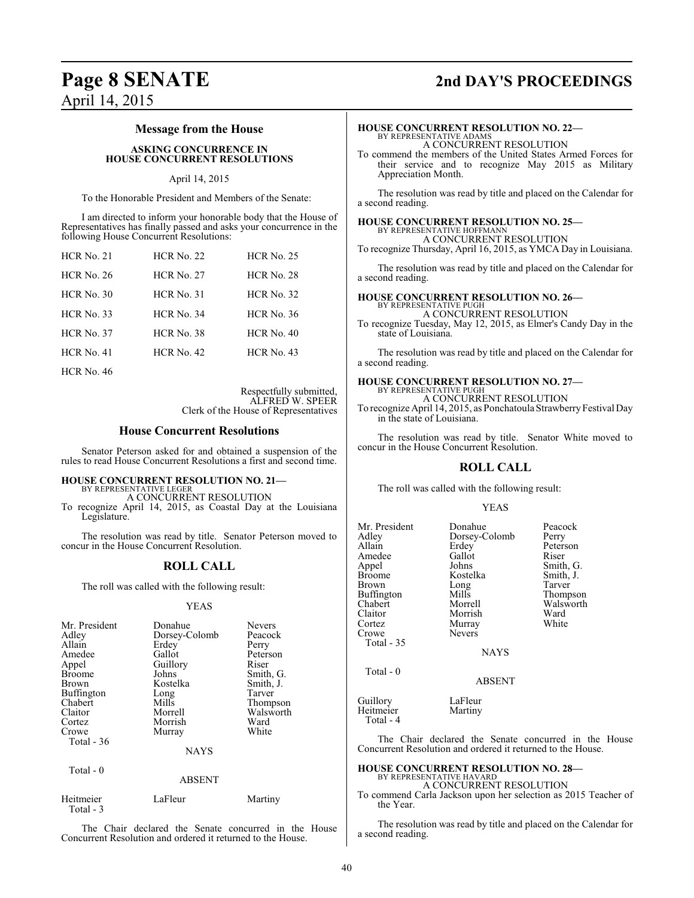# April 14, 2015

## **Page 8 SENATE 2nd DAY'S PROCEEDINGS**

### **Message from the House**

**ASKING CONCURRENCE IN HOUSE CONCURRENT RESOLUTIONS**

#### April 14, 2015

To the Honorable President and Members of the Senate:

I am directed to inform your honorable body that the House of Representatives has finally passed and asks your concurrence in the following House Concurrent Resolutions:

| <b>HCR No. 21</b> | <b>HCR No. 22</b> | <b>HCR No. 25</b> |
|-------------------|-------------------|-------------------|
| <b>HCR No. 26</b> | <b>HCR No. 27</b> | <b>HCR No. 28</b> |
| $HCR$ No. 30      | $HCR$ No. 31      | <b>HCR No. 32</b> |
| <b>HCR No. 33</b> | <b>HCR No. 34</b> | <b>HCR</b> No. 36 |
| $HCR$ No. 37      | <b>HCR No. 38</b> | $HCR$ No. 40      |
| $HCR$ No. 41      | $HCR$ No. 42      | $HCR$ No. 43      |
| <b>HCR No. 46</b> |                   |                   |

Respectfully submitted, ALFRED W. SPEER Clerk of the House of Representatives

#### **House Concurrent Resolutions**

Senator Peterson asked for and obtained a suspension of the rules to read House Concurrent Resolutions a first and second time.

## **HOUSE CONCURRENT RESOLUTION NO. 21—** BY REPRESENTATIVE LEGER

A CONCURRENT RESOLUTION

To recognize April 14, 2015, as Coastal Day at the Louisiana Legislature.

The resolution was read by title. Senator Peterson moved to concur in the House Concurrent Resolution.

#### **ROLL CALL**

The roll was called with the following result:

#### YEAS

| Mr. President<br>Adley<br>Allain<br>Amedee<br>Appel<br><b>Broome</b><br><b>Brown</b><br><b>Buffington</b><br>Chabert<br>Claitor<br>Cortez<br>Crowe<br>Total $-36$ | Donahue<br>Dorsey-Colomb<br>Erdey<br>Gallot<br>Guillory<br>Johns<br>Kostelka<br>Long<br>Mills<br>Morrell<br>Morrish<br>Murray<br><b>NAYS</b> | <b>Nevers</b><br>Peacock<br>Perry<br>Peterson<br>Riser<br>Smith, G.<br>Smith, J.<br>Tarver<br>Thompson<br>Walsworth<br>Ward<br>White |
|-------------------------------------------------------------------------------------------------------------------------------------------------------------------|----------------------------------------------------------------------------------------------------------------------------------------------|--------------------------------------------------------------------------------------------------------------------------------------|
| Total $-0$                                                                                                                                                        | <b>ABSENT</b>                                                                                                                                |                                                                                                                                      |

| Heitmeier | LaFleur | Martiny |
|-----------|---------|---------|
| Total - 3 |         |         |

The Chair declared the Senate concurred in the House Concurrent Resolution and ordered it returned to the House.

## **HOUSE CONCURRENT RESOLUTION NO. 22—**

BY REPRESENTATIVE ADAMS A CONCURRENT RESOLUTION

To commend the members of the United States Armed Forces for their service and to recognize May 2015 as Military Appreciation Month.

The resolution was read by title and placed on the Calendar for a second reading.

#### **HOUSE CONCURRENT RESOLUTION NO. 25—** BY REPRESENTATIVE HOFFMANN

A CONCURRENT RESOLUTION To recognize Thursday, April 16, 2015, as YMCA Day in Louisiana.

The resolution was read by title and placed on the Calendar for a second reading.

#### **HOUSE CONCURRENT RESOLUTION NO. 26—**

BY REPRESENTATIVE PUGH A CONCURRENT RESOLUTION

To recognize Tuesday, May 12, 2015, as Elmer's Candy Day in the state of Louisiana.

The resolution was read by title and placed on the Calendar for a second reading.

#### **HOUSE CONCURRENT RESOLUTION NO. 27—** BY REPRESENTATIVE PUGH

A CONCURRENT RESOLUTION

To recognize April 14, 2015, as Ponchatoula Strawberry Festival Day in the state of Louisiana.

The resolution was read by title. Senator White moved to concur in the House Concurrent Resolution.

### **ROLL CALL**

The roll was called with the following result:

#### YEAS

| Mr. President<br>Adley<br>Allain<br>Amedee<br>Appel<br>Broome<br>Brown<br>Buffington<br>Chabert<br>Claitor<br>Cortez<br>Crowe<br>Total - 35<br>Total - 0 | Donahue<br>Dorsey-Colomb<br>Erdey<br>Gallot<br>Johns<br>Kostelka<br>Long<br>Mills<br>Morrell<br>Morrish<br>Murray<br><b>Nevers</b><br><b>NAYS</b><br><b>ABSENT</b> | Peacock<br>Perry<br>Peterson<br>Riser<br>Smith, G.<br>Smith, J.<br>Tarver<br>Thompson<br>Walsworth<br>Ward<br>White |
|----------------------------------------------------------------------------------------------------------------------------------------------------------|--------------------------------------------------------------------------------------------------------------------------------------------------------------------|---------------------------------------------------------------------------------------------------------------------|
| Guillory<br>Heitmeier                                                                                                                                    | LaFleur<br>Martiny                                                                                                                                                 |                                                                                                                     |

The Chair declared the Senate concurred in the House Concurrent Resolution and ordered it returned to the House.

#### **HOUSE CONCURRENT RESOLUTION NO. 28—** BY REPRESENTATIVE HAVARD

A CONCURRENT RESOLUTION

To commend Carla Jackson upon her selection as 2015 Teacher of the Year.

The resolution was read by title and placed on the Calendar for a second reading.

Total - 4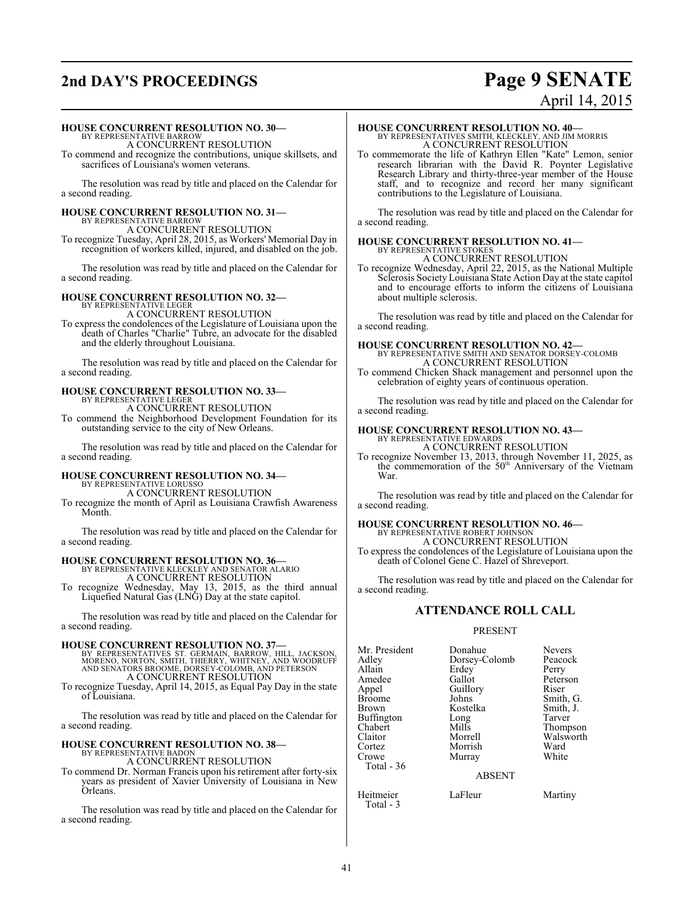## **2nd DAY'S PROCEEDINGS Page 9 SENATE**

# April 14, 2015

#### **HOUSE CONCURRENT RESOLUTION NO. 30—**

BY REPRESENTATIVE BARROW A CONCURRENT RESOLUTION

To commend and recognize the contributions, unique skillsets, and sacrifices of Louisiana's women veterans.

The resolution was read by title and placed on the Calendar for a second reading.

#### **HOUSE CONCURRENT RESOLUTION NO. 31—** BY REPRESENTATIVE BARROW

A CONCURRENT RESOLUTION

To recognize Tuesday, April 28, 2015, as Workers' Memorial Day in recognition of workers killed, injured, and disabled on the job.

The resolution was read by title and placed on the Calendar for a second reading.

# **HOUSE CONCURRENT RESOLUTION NO. 32—** BY REPRESENTATIVE LEGER A CONCURRENT RESOLUTION

To express the condolences of the Legislature of Louisiana upon the death of Charles "Charlie" Tubre, an advocate for the disabled and the elderly throughout Louisiana.

The resolution was read by title and placed on the Calendar for a second reading.

## **HOUSE CONCURRENT RESOLUTION NO. 33—** BY REPRESENTATIVE LEGER

A CONCURRENT RESOLUTION

To commend the Neighborhood Development Foundation for its outstanding service to the city of New Orleans.

The resolution was read by title and placed on the Calendar for a second reading.

#### **HOUSE CONCURRENT RESOLUTION NO. 34—** BY REPRESENTATIVE LORUSSO

A CONCURRENT RESOLUTION

To recognize the month of April as Louisiana Crawfish Awareness Month.

The resolution was read by title and placed on the Calendar for a second reading.

# **HOUSE CONCURRENT RESOLUTION NO. 36—**<br>BY REPRESENTATIVE KLECKLEY AND SENATOR ALARIO<br>A CONCURRENT RESOLUTION

To recognize Wednesday, May 13, 2015, as the third annual Liquefied Natural Gas (LNG) Day at the state capitol.

The resolution was read by title and placed on the Calendar for a second reading.

#### **HOUSE CONCURRENT RESOLUTION NO. 37—**

BY REPRESENTATIVES ST. GERMAIN, BARROW, HILL, JACKSON,<br>MORENO, NORTON, SMITH, THIERRY, WHITNEY, AND WOODRUFF<br>AND SENATORS BROOME, DORSEY-COLOMB, AND PETERSON A CONCURRENT RESOLUTION

To recognize Tuesday, April 14, 2015, as Equal Pay Day in the state of Louisiana.

The resolution was read by title and placed on the Calendar for a second reading.

#### **HOUSE CONCURRENT RESOLUTION NO. 38—** BY REPRESENTATIVE BADON

A CONCURRENT RESOLUTION

To commend Dr. Norman Francis upon his retirement after forty-six years as president of Xavier University of Louisiana in New Orleans.

The resolution was read by title and placed on the Calendar for a second reading.

#### **HOUSE CONCURRENT RESOLUTION NO. 40—**

BY REPRESENTATIVES SMITH, KLECKLEY, AND JIM MORRIS A CONCURRENT RESOLUTION

To commemorate the life of Kathryn Ellen "Kate" Lemon, senior research librarian with the David R. Poynter Legislative Research Library and thirty-three-year member of the House staff, and to recognize and record her many significant contributions to the Legislature of Louisiana.

The resolution was read by title and placed on the Calendar for a second reading.

# **HOUSE CONCURRENT RESOLUTION NO. 41—** BY REPRESENTATIVE STOKES

A CONCURRENT RESOLUTION To recognize Wednesday, April 22, 2015, as the National Multiple Sclerosis Society Louisiana State Action Day at the state capitol and to encourage efforts to inform the citizens of Louisiana about multiple sclerosis.

The resolution was read by title and placed on the Calendar for a second reading.

## **HOUSE CONCURRENT RESOLUTION NO. 42—** BY REPRESENTATIVE SMITH AND SENATOR DORSEY-COLOMB

A CONCURRENT RESOLUTION

To commend Chicken Shack management and personnel upon the celebration of eighty years of continuous operation.

The resolution was read by title and placed on the Calendar for a second reading.

#### **HOUSE CONCURRENT RESOLUTION NO. 43—**

BY REPRESENTATIVE EDWARDS A CONCURRENT RESOLUTION

To recognize November 13, 2013, through November 11, 2025, as the commemoration of the 50<sup>th</sup> Anniversary of the Vietnam War.

The resolution was read by title and placed on the Calendar for a second reading.

# **HOUSE CONCURRENT RESOLUTION NO. 46—** BY REPRESENTATIVE ROBERT JOHNSON

A CONCURRENT RESOLUTION

To express the condolences of the Legislature of Louisiana upon the death of Colonel Gene C. Hazel of Shreveport.

The resolution was read by title and placed on the Calendar for a second reading.

#### **ATTENDANCE ROLL CALL**

#### PRESENT

| Mr. President | Donahue       | <b>Nevers</b> |
|---------------|---------------|---------------|
|               |               |               |
| Adley         | Dorsey-Colomb | Peacock       |
| Allain        | Erdey         | Perry         |
| Amedee        | Gallot        | Peterson      |
| Appel         | Guillory      | Riser         |
| Broome        | Johns         | Smith, G.     |
| Brown         | Kostelka      | Smith, J.     |
| Buffington    | Long          | Tarver        |
| Chabert       | Mills         | Thompson      |
| Claitor       | Morrell       | Walsworth     |
| Cortez        | Morrish       | Ward          |
| Crowe         | Murray        | White         |
| Total - 36    |               |               |
|               | <b>ABSENT</b> |               |
|               |               |               |

Heitmeier LaFleur Martiny

Total - 3